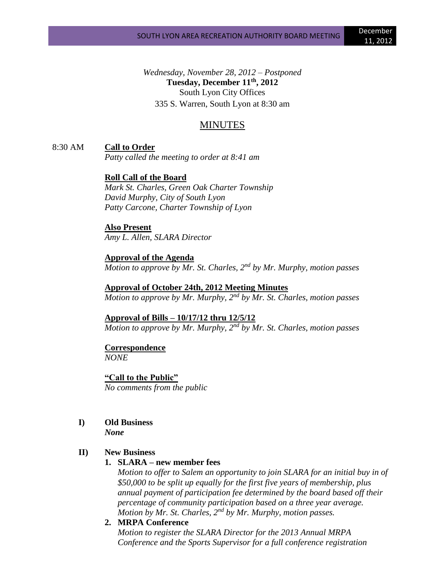*Wednesday, November 28, 2012 – Postponed* **Tuesday, December 11th, 2012** South Lyon City Offices 335 S. Warren, South Lyon at 8:30 am

# MINUTES

8:30 AM **Call to Order**

*Patty called the meeting to order at 8:41 am*

## **Roll Call of the Board**

*Mark St. Charles, Green Oak Charter Township David Murphy, City of South Lyon Patty Carcone, Charter Township of Lyon*

#### **Also Present**

*Amy L. Allen, SLARA Director*

### **Approval of the Agenda**

*Motion to approve by Mr. St. Charles, 2nd by Mr. Murphy, motion passes*

**Approval of October 24th, 2012 Meeting Minutes** *Motion to approve by Mr. Murphy, 2nd by Mr. St. Charles, motion passes*

**Approval of Bills – 10/17/12 thru 12/5/12** *Motion to approve by Mr. Murphy, 2nd by Mr. St. Charles, motion passes*

## **Correspondence**

*NONE*

**"Call to the Public"** *No comments from the public*

# **I) Old Business**

*None*

### **II) New Business**

### **1. SLARA – new member fees**

*Motion to offer to Salem an opportunity to join SLARA for an initial buy in of \$50,000 to be split up equally for the first five years of membership, plus annual payment of participation fee determined by the board based off their percentage of community participation based on a three year average. Motion by Mr. St. Charles, 2nd by Mr. Murphy, motion passes.*

# **2. MRPA Conference**

*Motion to register the SLARA Director for the 2013 Annual MRPA Conference and the Sports Supervisor for a full conference registration*